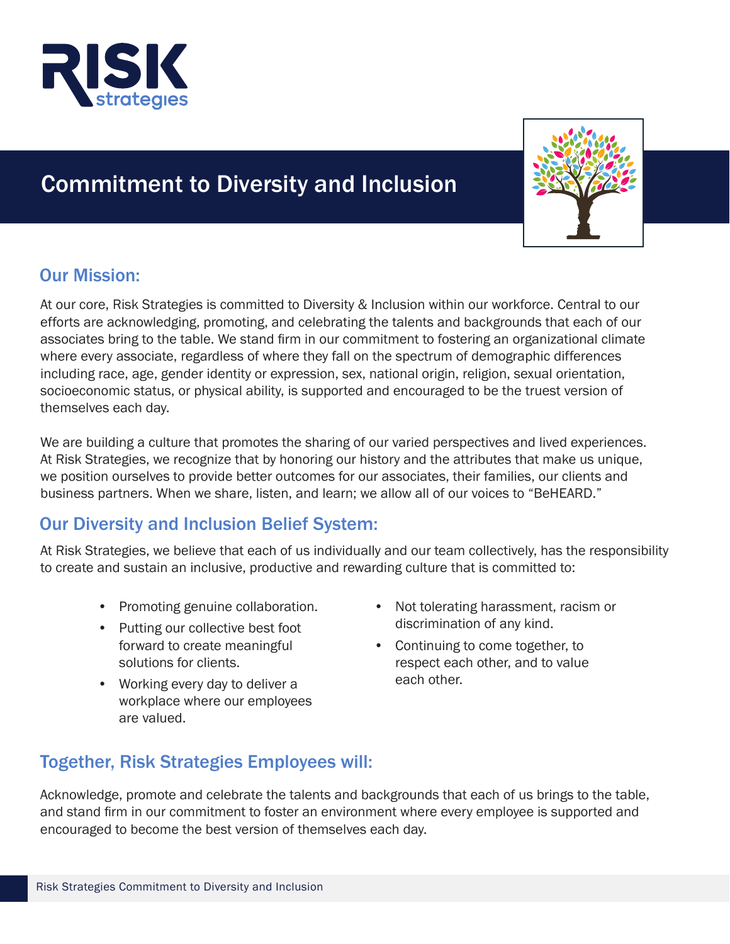

# Commitment to Diversity and Inclusion



## Our Mission:

At our core, Risk Strategies is committed to Diversity & Inclusion within our workforce. Central to our efforts are acknowledging, promoting, and celebrating the talents and backgrounds that each of our associates bring to the table. We stand firm in our commitment to fostering an organizational climate where every associate, regardless of where they fall on the spectrum of demographic differences including race, age, gender identity or expression, sex, national origin, religion, sexual orientation, socioeconomic status, or physical ability, is supported and encouraged to be the truest version of themselves each day.

We are building a culture that promotes the sharing of our varied perspectives and lived experiences. At Risk Strategies, we recognize that by honoring our history and the attributes that make us unique, we position ourselves to provide better outcomes for our associates, their families, our clients and business partners. When we share, listen, and learn; we allow all of our voices to "BeHEARD."

## Our Diversity and Inclusion Belief System:

At Risk Strategies, we believe that each of us individually and our team collectively, has the responsibility to create and sustain an inclusive, productive and rewarding culture that is committed to:

- Promoting genuine collaboration.
- Putting our collective best foot forward to create meaningful solutions for clients.
- Working every day to deliver a workplace where our employees are valued.
- Not tolerating harassment, racism or discrimination of any kind.
- Continuing to come together, to respect each other, and to value each other.

# Together, Risk Strategies Employees will:

Acknowledge, promote and celebrate the talents and backgrounds that each of us brings to the table, and stand firm in our commitment to foster an environment where every employee is supported and encouraged to become the best version of themselves each day.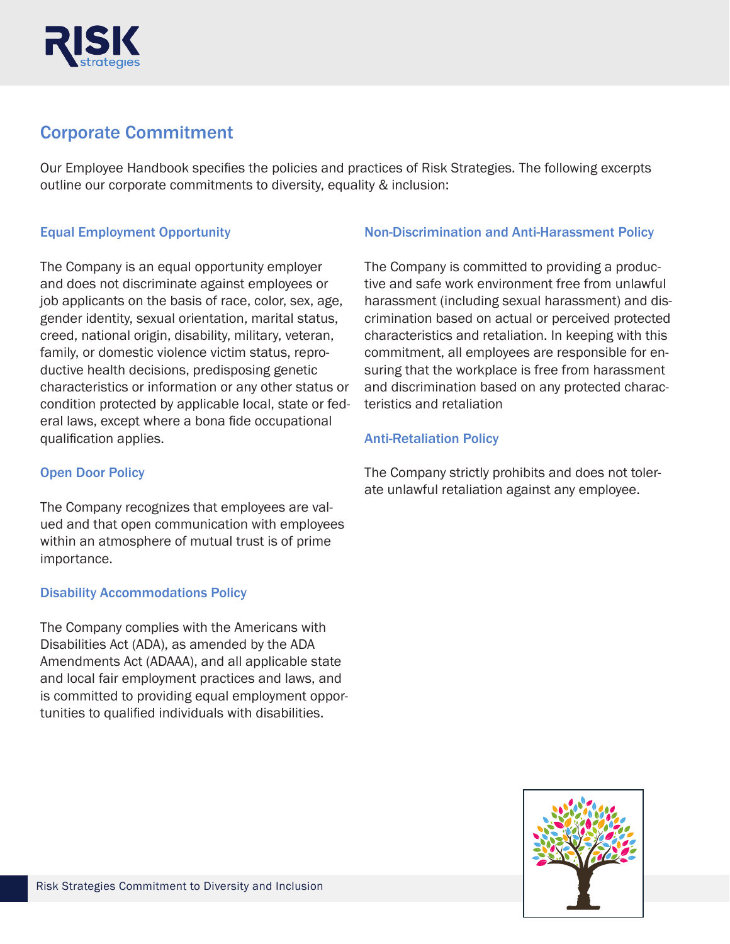

### Corporate Commitment

Our Employee Handbook specifies the policies and practices of Risk Strategies. The following excerpts outline our corporate commitments to diversity, equality & inclusion:

#### Equal Employment Opportunity

The Company is an equal opportunity employer and does not discriminate against employees or job applicants on the basis of race, color, sex, age, gender identity, sexual orientation, marital status, creed, national origin, disability, military, veteran, family, or domestic violence victim status, reproductive health decisions, predisposing genetic characteristics or information or any other status or condition protected by applicable local, state or federal laws, except where a bona fide occupational qualification applies.

#### Open Door Policy

The Company recognizes that employees are valued and that open communication with employees within an atmosphere of mutual trust is of prime importance.

#### Disability Accommodations Policy

The Company complies with the Americans with Disabilities Act (ADA), as amended by the ADA Amendments Act (ADAAA), and all applicable state and local fair employment practices and laws, and is committed to providing equal employment opportunities to qualified individuals with disabilities.

#### Non-Discrimination and Anti-Harassment Policy

The Company is committed to providing a productive and safe work environment free from unlawful harassment (including sexual harassment) and discrimination based on actual or perceived protected characteristics and retaliation. In keeping with this commitment, all employees are responsible for ensuring that the workplace is free from harassment and discrimination based on any protected characteristics and retaliation

#### Anti-Retaliation Policy

The Company strictly prohibits and does not tolerate unlawful retaliation against any employee.

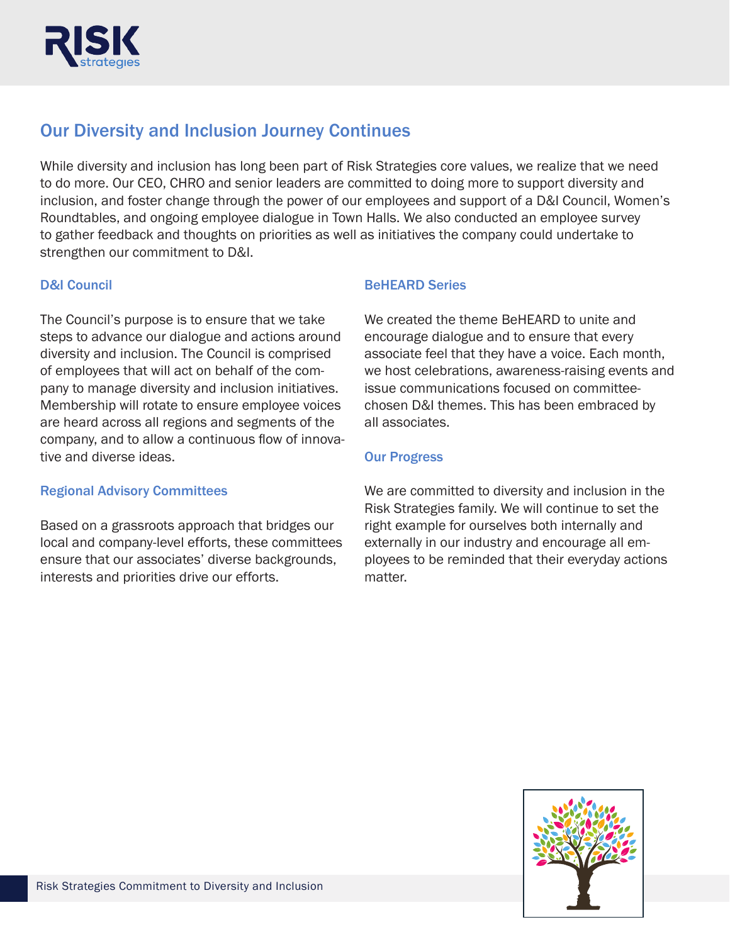

# Our Diversity and Inclusion Journey Continues

While diversity and inclusion has long been part of Risk Strategies core values, we realize that we need to do more. Our CEO, CHRO and senior leaders are committed to doing more to support diversity and inclusion, and foster change through the power of our employees and support of a D&I Council, Women's Roundtables, and ongoing employee dialogue in Town Halls. We also conducted an employee survey to gather feedback and thoughts on priorities as well as initiatives the company could undertake to strengthen our commitment to D&I.

### D&I Council

The Council's purpose is to ensure that we take steps to advance our dialogue and actions around diversity and inclusion. The Council is comprised of employees that will act on behalf of the company to manage diversity and inclusion initiatives. Membership will rotate to ensure employee voices are heard across all regions and segments of the company, and to allow a continuous flow of innovative and diverse ideas.

#### Regional Advisory Committees

Based on a grassroots approach that bridges our local and company-level efforts, these committees ensure that our associates' diverse backgrounds, interests and priorities drive our efforts.

#### BeHEARD Series

We created the theme BeHEARD to unite and encourage dialogue and to ensure that every associate feel that they have a voice. Each month, we host celebrations, awareness-raising events and issue communications focused on committeechosen D&I themes. This has been embraced by all associates.

#### Our Progress

We are committed to diversity and inclusion in the Risk Strategies family. We will continue to set the right example for ourselves both internally and externally in our industry and encourage all employees to be reminded that their everyday actions matter.